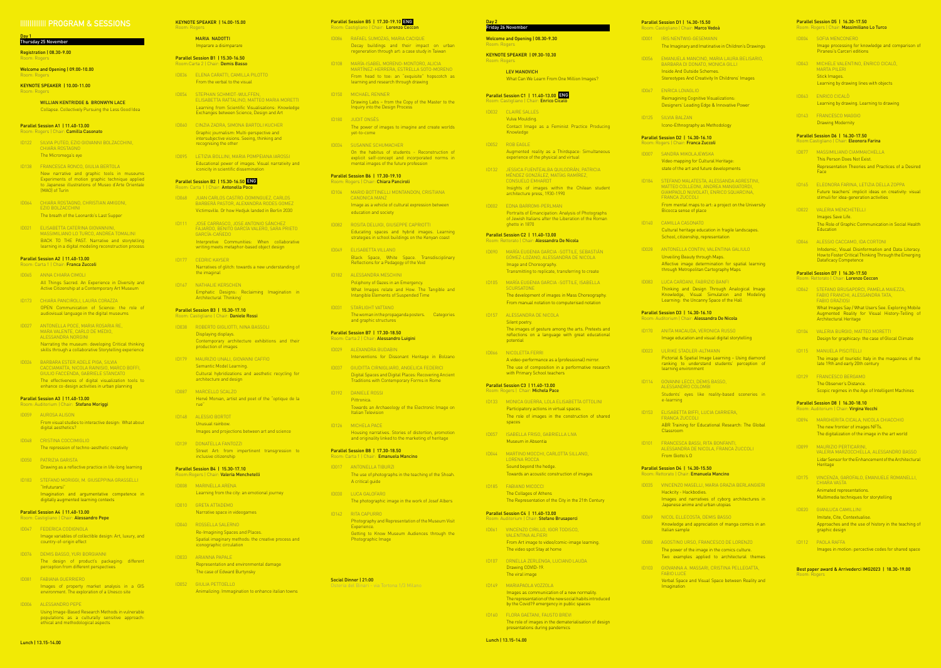#### **|||||||||||||| PROGRAM & SESSIONS**

#### Day 1 Thursday 25 November

Welcome and Opening | 09.00-10.00 Room: Roger

## Registration | 08.30-9.00

Room: Rogers

#### Parallel Session A1 | 11.40-13.00 Rogers | Chair: **Camilla Casonato**

KEYNOTE SPEAKER | 10.00-11.00 Room: Rogers

> WILLIAN KENTRIDGE & BRONWYN LACE Collapse. Collectively Pursuing the Less Good Idea

#### Parallel Session A2 | 11.40-13.00 Room: Carta 1 | Chair: **Franca Zuccoli**

- ID122 SILVIA PUTEO, EZIO GIOVANNI BOLZACCHINI, CHIARA ROSTAGNO The Micromega's eye
- ID138 FRANCESCA RONCO, GIULIA BERTOLA New narrative and graphic tools in museums Experiments of motion graphic technique applied to Japanese illustrations of Museo d'Arte Orientale (MAO) of Turin
- ID064 CHIARA ROSTAGNO, CHRISTIAN AMIGONI, EZIO BOLZACCHINI The breath of the Leonardo's Last Supper
- ID021 ELISABETTA CATERINA GIOVANNINI, MASSIMILIANO LO TURCO, ANDREA TOMALINI BACK TO THE PAST. Narrative and storytelling learning in a digital modeling reconstruction process

#### Parallel Session A3 | 11.40-13.00 om: Auditorium | Chair: **Stefano Moriggi**

#### Parallel Session A4 | 11.40-13.00 Room: Castigliano | Chair: Alessandro Pepe

- ID065 ANNA CHIARA CIMOLI All Things Sacred. An Experience in Diversity and Active Citizenship at a Contemporary Art Museum
- ID173 CHIARA PANCIROLI, LAURA CORAZZA OPEN Communication of Science: the role of audiovisual language in the digital museums
- ID027 ANTONELLA POCE, MARIA ROSARIA RE, MARA VALENTE, CARLO DE MEDIO, ALESSANDRA NORGINI Narrating the museum: developing Critical thinking skills through a collaborative Storytelling experience
- ID026 BARBARA ESTER ADELE PIGA, SILVIA CACCIAMATTA, NICOLA RAINISIO, MARCO BOFFI, GIULIO FACCENDA, GABRIELE STANCATO The effectiveness of digital visualization tools to enhance co-design activities in urban planning

- ID059 AUROSA ALISON
- From visual studies to interactive design: What about digital aesthetics?
- ID048 CRISTINA COCCIMIGLIO The repression of techno-aesthetic creativity
- ID050 PATRIZIA GARISTA Drawing as a reflective practice in life-long learning
- ID183 STEFANO MORIGGI, M. GIUSEPPINA GRASSELLI "Infuturarsi" Imagination and argumentative competence in digitally augmented learning contexts

#### Parallel Session B3 | 15.30-17.10 Room: Castigliano | Chair: Daniele Rossi

#### Parallel Session B4 | 15.30-17.10 Room:Rogers | Chair: Valeria Menchetelli

- ID047 FEDERICA CODIGNOLA Image variables of collectible design: Art, luxury, and country-of-origin effect
- ID076 DEMIS BASSO, YURI BORGIANNI The design of product's packaging: different perception from different perspectives
- ID081 FABIANA GUERRIERO Images of property market analysis in a GIS environment. The exploration of a Unesco site
- ID006 ALESSANDRO PEPE Using Image-Based Research Methods in vulnerable populations as a culturally sensitive approach: ethical and methodological aspects

#### Parallel Session B5 | 17.30-19.10 ENGRoom: Castigliano | Chair: Lorenzo Ceccor ID086 RAFAEL SUMOZAS, MARIA CACIQUE Decay buildings and their impact on urban regeneration through art: a case study in Taiwan ID108 MARÍA-ISABEL MORENO-MONTORO, ALICIA MARTÍNEZ-HERRERA, ESTRELLA SOTO-MORENO From head to toe: an "exquisite" hopscotch as learning and research through drawing ID150 MICHAEL RENNER Drawing Labs – from the Copy of the Master to the Inquiry into the Design Process ID180 JUDIT ONSÈS The power of images to imagine and create worlds yet-to-come ID034 SUSANNE SCHUMACHER On the habitus of students - Reconstruction of explicit self-concept and incorporated norms in mental images of the future profession Parallel Session B6 | 17.30-19.10 Room: Rogers | Chair: Chiara Panciroli ID106 MARIO BOTTINELLI MONTANDON, CRISTIANA CANONICA MANZ Image as a vehicle of cultural expression between education and society ID082 ROSITA DELUIGI, GIUSEPPE CAPRIOTTI Educating spaces and hybrid images. Learning strategies in school buildings on the Kenyan coast ID049 ELISABETTA VILLANO Black Space, White Space. Transdisciplinary Reflections for a Pedagogy of the Void ID182 ALESSANDRA MESCHINI Poliphony of Gazes in an Emergency. What Images relate and How. The Tangible and Intangible Elements of Suspended Time ID031 STARLIGHT VATTANO The woman in the propaganda posters. Categories and graphic structures Parallel Session B7 | 17.30-18.50 Room: Carta 2 | Chair: Alessandro Luigini ID029 ALEXANDRA BUDABIN Interventions for Dissonant Heritage in Bolzano ID037 GIUDITTA CIRNIGLIARO, ANGELICA FEDERICI Digital Spaces and Digital Places: Recovering Ancient Traditions with Contemporary Forms in Rome Day 2 Friday 2 **Welcor** Room KEYNO<sup>-</sup> **Parallel ID032** ID052 ROB EAGLE **Paralle**

#### KEYNOTE SPEAKER | 14.00-15.00 Room: Rogers

MARIA NADOTTI Imparare a disimparare

#### Parallel Session B1 | 15.30-16.50 Room:Carta 2 | Chair: Demis Basso

- ID036 ELENA CARATTI, CAMILLA PILOTTO From the verbal to the visual
- ID054 STEPHAN SCHMIDT-WULFFEN, ELISABETTA RATTALINO, MATTEO MARIA MORETTI Learning from Scientific Visualisations: Knowledge Exchanges between Science, Design and Art
- ID060 CINZIA ZADRA, SIMONA BARTOLI KUCHER Graphic journalism: Multi-perspective and intersubjective visions. Seeing, thinking and recognising the other
- ID095 LETIZIA BOLLINI, MARIA POMPEIANA IAROSSI Educational power of images. Visual narrativity and iconicity in scientific dissemination

#### Parallel Session B2 | 15.30-16.50 ENG Room: Carta 1 | Chair: Antonella Poce

- ID068 JUAN CARLOS CASTRO-DOMINGUEZ, CARLOS BARBERÀ PASTOR, ALEXANDRA RODES GOMEZ Victimsville. Or how Hedjuk landed in Berlin 2030
- ID111 JOSE CARRASCO, JOSE ANTONIO SÁNCHEZ FAJARDO, BENITO GARCÍA VALERO, SARA PRIETO GARCÍA-CAÑEDO Interpretive Communities: When collaborative writing meets metaphor-based object design
- ID177 CEDRIC KAYSER Narratives of glitch: towards a new understanding of the imaginal
- ID167 NATHALIE KERSCHEN Emphatic Designs: Reclaiming Imagination in Architectural 'Thinking'

- ID038 ROBERTO GIGLIOTTI, NINA BASSOLI Displaying displays. Contemporary architecture exhibitions and their production of images
- ID179 MAURIZIO UNALI, GIOVANNI CAFFIO Semantic Model Learning. Cultural hybridizations and aesthetic recycling for architecture and design
- ID087 MARCELLO SCALZO Hervé Morvan, artist and poet of the "optique de la rue"
- ID148 ALESSIO BORTOT Unusual rainbow. Images and projections between art and science
- ID139 DONATELLA FANTOZZI Street Art: from impertinent transgression to inclusive citizenship

- ID008 MARINELLA ARENA Learning from the city: an emotional journey
- ID010 GRETA ATTADEMO Narrative space in videogames
- ID040 ROSSELLA SALERNO Re-Imagining Spaces and Places. Spatial imaginary methods: the creative process and iconographic circulation
- ID033 ARIANNA PAPALE Representation and environmental damage The case of Edward Burtynsky
- ID052 GIULIA PETTOELLO Animalizing: Immagination to enhance italian towns

| Day 2                                            | Friday 26 November                                                                                                                   | Parallel Session D1   14.30-15.50<br>Room: Castigliano   Chair: Marco V |                                                                                        |  |
|--------------------------------------------------|--------------------------------------------------------------------------------------------------------------------------------------|-------------------------------------------------------------------------|----------------------------------------------------------------------------------------|--|
| Welcome and Opening   08.30-9.30<br>Room: Rogers |                                                                                                                                      | <b>ID001</b>                                                            | <b>IRIS NENTWIG-GESEMA</b><br>The Imaginary and Imatin                                 |  |
| Room: Rogers                                     | KEYNOTE SPEAKER   09.30-10.30<br><b>LEV MANOVICH</b>                                                                                 | <b>ID056</b>                                                            | EMANUELA MANCINO, N<br>BARBARA DI DONATO, M<br><b>Inside And Outside Scher</b>         |  |
|                                                  | What Can We Learn From One Million Images?                                                                                           |                                                                         | <b>Stereotypes And Creativit</b>                                                       |  |
|                                                  | Parallel Session C1   11.40-13.00 ENG<br>Room: Castigliano   Chair: Enrico Cicalò                                                    | <b>ID067</b>                                                            | ENRICA LOVAGLIO<br><b>Reimagining Cognitive Vis</b><br>Designers' Leading Edge         |  |
| <b>ID032</b>                                     | <b>CLAIRE SALLES</b><br>Vulva Moulding.                                                                                              | <b>ID125</b>                                                            | <b>SILVIA BALZAN</b>                                                                   |  |
|                                                  | Contact Image as a Feminist Practice Producing<br>Knowledge                                                                          |                                                                         | Icono-Ethnography as Me                                                                |  |
| <b>ID052</b>                                     | <b>ROB EAGLE</b>                                                                                                                     |                                                                         | Parallel Session D2   14.30-16.10<br>Room: Rogers   Chair: Franca Zucc                 |  |
|                                                  | Augmented reality as a Thirdspace: Simultaneous<br>experience of the physical and virtual                                            | <b>ID007</b>                                                            | <b>SANDRA MIKOLAJEWSK</b><br>Video mapping for Cultur<br>state of the art and future   |  |
| <b>ID132</b>                                     | JESSICA FUENTEALBA QUILODRÁN, PATRICIA<br>MÉNDEZ GONZÁLEZ, MATÍAS RAMÍREZ,<br><b>CONSUELO EMHARDT</b>                                | <b>ID184</b>                                                            | STEFANO MALATESTA, A                                                                   |  |
|                                                  | Insights of images within the Chilean student<br>architecture press, 1930-1990                                                       |                                                                         | MATTEO COLLEONI, ANI<br>GIAMPAOLO NUVOLATI, I<br>FRANCA ZUCCOLI                        |  |
| <b>ID002</b>                                     | EDNA BARROMI-PERLMAN<br>Portraits of Emancipation: Analysis of Photographs                                                           |                                                                         | From mental maps to art<br>Bicocca sense of place                                      |  |
|                                                  | of Jewish Italians after the Liberation of the Roman<br>ghetto in 1870                                                               | ID140                                                                   | <b>CAMILLA CASONATO</b>                                                                |  |
|                                                  | Parallel Session C2   11.40-13.00                                                                                                    |                                                                         | Cultural heritage educati<br>School, citizenship, repre                                |  |
| <b>ID090</b>                                     | Room: Rettorato   Chair: Alessandra De Nicola<br>MARÍA EUGENIA GARCIA - SOTTILE, SEBASTIÁN                                           | <b>ID028</b>                                                            | ANTONELLA CONTIN, VA                                                                   |  |
|                                                  | GÓMEZ-LOZANO, ALESSANDRA DE NICOLA<br>Image and Choreography.<br>Transmitting to replicate, transferring to create                   |                                                                         | <b>Unveiling Beauty through</b><br>Affective image determi<br>through Metropolitan Car |  |
| <b>ID105</b>                                     | MARÍA EUGENIA GARCIA - SOTTILE, ISABELLA<br><b>SCURSATONE</b>                                                                        | <b>ID083</b>                                                            | LUCA CARDANI, FABRIZI                                                                  |  |
|                                                  | The development of images in Mass Choreography.<br>From manual notation to computerised notation                                     |                                                                         | Thinking and Design T<br>Knowledge, Visual Si<br>Learning: the Uncanny S               |  |
| <b>ID157</b>                                     | ALESSANDRA DE NICOLA<br>Silent poetry.                                                                                               |                                                                         | Parallel Session D3   14.30-16.10<br>Room: Auditorium   Chair: Alessan                 |  |
|                                                  | The images of gesture among the arts. Pretexts and<br>reflections on a language with great educational<br>potential                  | <b>ID170</b>                                                            | ANITA MACAUDA, VERON<br>Image education and visu                                       |  |
| ID066                                            | NICOLETTA FERRI                                                                                                                      | <b>ID023</b>                                                            | <b>ULRIKE STADLER-ALTM.</b><br>Pictorial & Spatial Image                               |  |
|                                                  | A video-performance as a (professional) mirror.<br>The use of composition in a performative research<br>with Primary School teachers |                                                                         | ranking to understand<br>learning environment                                          |  |
|                                                  | Parallel Session C3   11.40-13.00<br>Room: Rogers   Chair: Michela Pace                                                              | ID114                                                                   | GOVANNI LECCI, DEMIS<br>ALESSANDRO COLOMBI                                             |  |
| <b>ID133</b>                                     | MONICA GUERRA, LOLA ELISABETTA OTTOLINI                                                                                              |                                                                         | Students' eyes like re<br>e-learning                                                   |  |
|                                                  | Participatory actions in virtual spaces.<br>The role of images in the construction of shared<br>spaces                               | <b>ID153</b>                                                            | ELISABETTA BIFFI, LUCI<br>FRANCA ZUCCOLI                                               |  |
| <b>ID057</b>                                     | ISABELLA FRISO, GABRIELLA LIVA                                                                                                       |                                                                         | <b>ABR Training for Educat</b><br>Classroom                                            |  |
|                                                  | Museum in Absentia                                                                                                                   | <b>ID101</b>                                                            | <b>FRANCESCA BASSI, RITA</b><br>ALESSANDRA DE NICOL                                    |  |
| 1D044                                            | MARTINO MOCCHI, CARLOTTA SILLANO,<br><b>LORENA ROCCA</b>                                                                             |                                                                         | From Giotto's O                                                                        |  |
|                                                  | Sound beyond the hedge.<br>Towards an acoustic construction of images                                                                |                                                                         | Parallel Session D4   14.30-15.50<br>Room: Rettorato   Chair: Emanuela                 |  |
| <b>ID185</b>                                     | <b>FABIANO MICOCCI</b>                                                                                                               | <b>ID035</b>                                                            | VINCENZO MASELLI, MA                                                                   |  |
|                                                  | The Collages of Athens<br>The Representation of the City in the 21th Century                                                         |                                                                         | Hackcity - Hackbodies.<br>Images and narratives<br>Japanese anime and urb              |  |
|                                                  | Parallel Session C4   11.40-13.00<br>Room: Auditorium   Chair: Stefano Brusaporci                                                    | <b>ID069</b>                                                            | NICOL ELLECOSTA, DEM                                                                   |  |
| <b>ID061</b>                                     | VINCENZO CIRILLO, IGOR TODISCO,<br><b>VALENTINA ALFIERI</b>                                                                          |                                                                         | Knowledge and apprecial<br>Italian sample                                              |  |
|                                                  | From Art image to video/comic-image learning.<br>The video spot Stay at home                                                         | <b>ID080</b>                                                            | AGOSTINO URSO, FRANO<br>The power of the image in<br>Two examples applied              |  |
| ID107                                            | ORNELLA ZERLENGA, LUCIANO LAUDA<br>Drawing COVID-19.                                                                                 | <b>ID103</b>                                                            | GIOVANNA A. MASSARI,                                                                   |  |
|                                                  | The viral image                                                                                                                      |                                                                         | FABIO LUCE<br>Verbal Space and Visual                                                  |  |
| <b>ID149</b>                                     | MARIAPAOLA VOZZOLA<br>Images as communication of a new normality.                                                                    |                                                                         | Imagination                                                                            |  |
|                                                  | The representation of the new social habits introduced<br>by the Covid19 emergency in public spaces                                  |                                                                         |                                                                                        |  |
| <b>ID160</b>                                     | FLORA GAETANI, FAUSTO BREVI<br>The role of images in the dematerialisation of design                                                 |                                                                         |                                                                                        |  |

- ID192 DANIELE ROSSI Pittronica. Towards an Archaeology of the Electronic Image on Italian Television
- ID126 MICHELA PACE Housing narratives. Stories of distortion, promotion and originality linked to the marketing of heritage

#### Parallel Session B8 | 17.30-18.50 Room: Carta 1 | Chair: Emanuela Mancino

- ID017 ANTONELLA TIBURZI The use of photographs in the teaching of the Shoah. A critical guide ID030 LUCA GALOFARO The photographic image in the work of Josef Albers ID142 RITA CAPURRO Photography and Representation of the Museum Visit Experience. Getting to Know Museum Audiences through the
	-

**ID185** 

**Parallel** 

**Paralle** 

Photographic Image

Social Dinner | 21:00 Osteria del Binari - via Tortona 1/3 Milano

presentations during pandemics

| The Imaginary and Imatinative in Children's Drawings                                                                                 |              | Image processing for knowledge and comparison of<br>Piranesi's Carceri editions                                                        |  |
|--------------------------------------------------------------------------------------------------------------------------------------|--------------|----------------------------------------------------------------------------------------------------------------------------------------|--|
| EMANUELA MANCINO, MARIA LAURA BELISARIO,<br>BARBARA DI DONATO, MONICA GILLI<br>Inside And Outside Schemes.                           | <b>ID043</b> | MICHELE VALENTINO, ENRICO CICALÒ,<br><b>MARTA PILERI</b>                                                                               |  |
| <b>Stereotypes And Creativity In Childrens' Images</b>                                                                               |              | Stick Images.<br>Learning by drawing lines with objects                                                                                |  |
| ENRICA LOVAGLIO<br>Reimagining Cognitive Visualizations:                                                                             | <b>ID063</b> | ENRICO CICALO                                                                                                                          |  |
| Designers' Leading Edge & Innovative Power                                                                                           |              | Learning by drawing. Learning to drawing                                                                                               |  |
| <b>SILVIA BALZAN</b><br>Icono-Ethnography as Methodology                                                                             | ID143        | FRANCESCO MAGGIO<br><b>Drawing Modernity</b>                                                                                           |  |
| Session D2   14.30-16.10<br>ogers   Chair: Franca Zuccoli                                                                            |              | Parallel Session D6   16.30-17.50<br>Room:Castigliano   Chair: Eleonora Farina                                                         |  |
| SANDRA MIKOLAJEWSKA                                                                                                                  | <b>ID077</b> | MASSIMILIANO CIAMMAICHELLA<br>This Person Does Not Exist.                                                                              |  |
| Video mapping for Cultural Heritage:<br>state of the art and future developments                                                     |              | Representation Theories and Practices of a Desired<br>Face                                                                             |  |
| STEFANO MALATESTA, ALESSANDA AGRESTINI,<br>MATTEO COLLEONI, ANDREA MANGIATORDI,                                                      | ID165        | ELEONORA FARINA, LETIZIA DELLA ZOPPA                                                                                                   |  |
| GIAMPAOLO NUVOLATI, ENRICO SQUARCINA,<br><b>FRANCA ZUCCOLI</b>                                                                       |              | Future teachers' implicit ideas on creativity: visual<br>stimuli for idea-generation activities                                        |  |
| From mental maps to art: a project on the University                                                                                 |              |                                                                                                                                        |  |
| Bicocca sense of place                                                                                                               | ID022        | <b>VALERIA MENCHETELLI</b><br>Images Save Life.                                                                                        |  |
| <b>CAMILLA CASONATO</b>                                                                                                              |              | The Role of Graphic Communication in Social Health                                                                                     |  |
| Cultural heritage education in fragile landscapes.<br>School, citizenship, representation                                            |              | <b>Education</b>                                                                                                                       |  |
| ANTONELLA CONTIN, VALENTINA GALIULO                                                                                                  | <b>ID046</b> | ALESSIO CACCAMO, IDA CORTONI<br>Infodemic, Visual Disinformation and Data Literacy.                                                    |  |
| Unveiling Beauty through Maps.                                                                                                       |              | How to Foster Critical Thinking Through the Emerging<br><b>Dataficacy Competence</b>                                                   |  |
| Affective image determination for spatial learning<br>through Metropolitan Cartography Maps                                          |              | Parallel Session D7   16.30-17.50                                                                                                      |  |
| LUCA CARDANI, FABRIZIO BANFI                                                                                                         |              | Room: Rettorato   Chair: Lorenzo Ceccon                                                                                                |  |
| Thinking and Design Through Analogical Image<br>Knowledge, Visual Simulation and Modeling<br>Learning: the Uncanny Space of the Hall |              | ID062 STEFANO BRUSAPORCI, PAMELA MAIEZZA,<br>FABIO FRANCHI, ALESSANDRA TATA,<br><b>FABIO GRAZIOSI</b>                                  |  |
| Session D3   14.30-16.10<br>Iditorium   Chair: <b>Alessandra De Nicola</b>                                                           |              | What Images Say / What Users See. Exploring Mobile<br>Augmented Reality for Visual History-Telling of<br><b>Architectural Heritage</b> |  |
| ANITA MACAUDA, VERONICA RUSSO                                                                                                        | <b>ID104</b> | VALERIA BURGIO; MATTEO MORETTI                                                                                                         |  |
| Image education and visual digital storytelling                                                                                      |              | Design for graphicacy: the case of Glocal Climate                                                                                      |  |
| <b>ULRIKE STADLER-ALTMANN</b>                                                                                                        | <b>ID115</b> | <b>MANUELA PISCITELLI</b>                                                                                                              |  |
| Pictorial & Spatial Image Learning - Using diamond<br>ranking to understand students' perception of<br>learning environment          |              | The image of touristic Italy in the magazines of the<br>late 19th and early 20th century                                               |  |
| GOVANNI LECCI, DEMIS BASSO,                                                                                                          | <b>ID129</b> | FRANCESCO BERGAMO<br>The Observer's Distance.                                                                                          |  |
| <b>ALESSANDRO COLOMBI</b><br>Students' eyes like reality-based sceneries in                                                          |              | Scopic regimes in the Age of Intelligent Machines                                                                                      |  |
| e-learning                                                                                                                           |              | Parallel Session D8   16.30-18.10<br>Room: Auditorium   Chair: Virgina Vecchi                                                          |  |
| ELISABETTA BIFFI, LUCIA CARRIERA,<br><b>FRANCA ZUCCOLI</b>                                                                           | <b>ID094</b> | MARGHERITA CICALA, NICOLA CHIACCHIO                                                                                                    |  |
| ABR Training for Educational Research: The Global<br>Classroom                                                                       |              | The new frontier of images NFTs.<br>The digitalization of the image in the art world                                                   |  |
| FRANCESCA BASSI, RITA BONFANTI,<br>ALESSANDRA DE NICOLA, FRANCA ZUCCOLI                                                              | <b>ID099</b> | MAURIZIO PERTICARINI,                                                                                                                  |  |
| From Giotto's O                                                                                                                      |              | VALERIA MARZOCCHELLA, ALESSANDRO BASSO<br>Lidar Sensor for the Enhancement of the Architectural<br>Heritage                            |  |
| Session D4   14.30-15.50<br>ettorato   Chair: <b>Emanuela Mancino</b>                                                                | <b>ID175</b> | VINCENZA, GAROFALO, EMANUELE ROMANELLI,                                                                                                |  |
| VINCENZO MASELLI, MARIA GRAZIA BERLANGIERI<br>Hackcity - Hackbodies.                                                                 |              | <b>CHIARA VASTA</b><br>Animated representations.                                                                                       |  |
| Images and narratives of cyborg architectures in<br>Japanese anime and urban utopias                                                 |              | Multimedia techniques for storytelling                                                                                                 |  |
|                                                                                                                                      | <b>ID020</b> | <b>GIANLUCA CAMILLINI</b>                                                                                                              |  |
| NICOL ELLECOSTA, DEMIS BASSO<br>Knowledge and appreciation of manga comics in an<br>Italian sample                                   |              | Imitate, Cite, Contextualise.<br>Approaches and the use of history in the teaching of<br>graphic design                                |  |
| AGOSTINO URSO, FRANCESCO DE LORENZO                                                                                                  | <b>ID112</b> | PAOLA RAFFA                                                                                                                            |  |
| The power of the image in the comics culture.<br>Two examples applied to architectural themes                                        |              | Images in motion: percective codes for shared space                                                                                    |  |
| GIOVANNA A. MASSARI, CRISTINA PELLEGATTA,<br><b>FABIO LUCE</b>                                                                       | Room: Rogers | Best paper award & Arrivederci IMG2023   18.30-19.00                                                                                   |  |
| Verbal Space and Visual Space between Reality and<br>Imagination                                                                     |              |                                                                                                                                        |  |

Parallel Session D5 | 16.30-17.50

Room: Rogers | Chair: Massimiliano Lo Turco

ID004 SOFIA MENCONERO

Castigliano | Chair: Marco Vedoà IRIS NENTWIG-GESEMANN